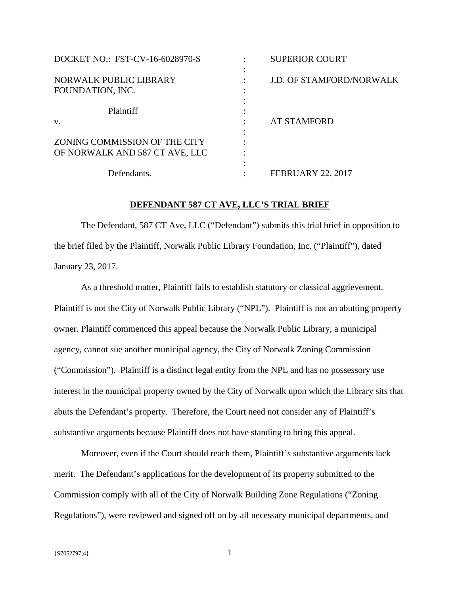| DOCKET NO.: FST-CV-16-6028970-S                                 | <b>SUPERIOR COURT</b>           |
|-----------------------------------------------------------------|---------------------------------|
| NORWALK PUBLIC LIBRARY<br>FOUNDATION, INC.                      | <b>J.D. OF STAMFORD/NORWALK</b> |
| Plaintiff<br>V.                                                 | <b>AT STAMFORD</b>              |
| ZONING COMMISSION OF THE CITY<br>OF NORWALK AND 587 CT AVE, LLC |                                 |
| Defendants.                                                     | <b>FEBRUARY 22, 2017</b>        |

### **DEFENDANT 587 CT AVE, LLC'S TRIAL BRIEF**

The Defendant, 587 CT Ave, LLC ("Defendant") submits this trial brief in opposition to the brief filed by the Plaintiff, Norwalk Public Library Foundation, Inc. ("Plaintiff"), dated January 23, 2017.

As a threshold matter, Plaintiff fails to establish statutory or classical aggrievement. Plaintiff is not the City of Norwalk Public Library ("NPL"). Plaintiff is not an abutting property owner. Plaintiff commenced this appeal because the Norwalk Public Library, a municipal agency, cannot sue another municipal agency, the City of Norwalk Zoning Commission ("Commission"). Plaintiff is a distinct legal entity from the NPL and has no possessory use interest in the municipal property owned by the City of Norwalk upon which the Library sits that abuts the Defendant's property. Therefore, the Court need not consider any of Plaintiff's substantive arguments because Plaintiff does not have standing to bring this appeal.

Moreover, even if the Court should reach them, Plaintiff's substantive arguments lack merit. The Defendant's applications for the development of its property submitted to the Commission comply with all of the City of Norwalk Building Zone Regulations ("Zoning Regulations"), were reviewed and signed off on by all necessary municipal departments, and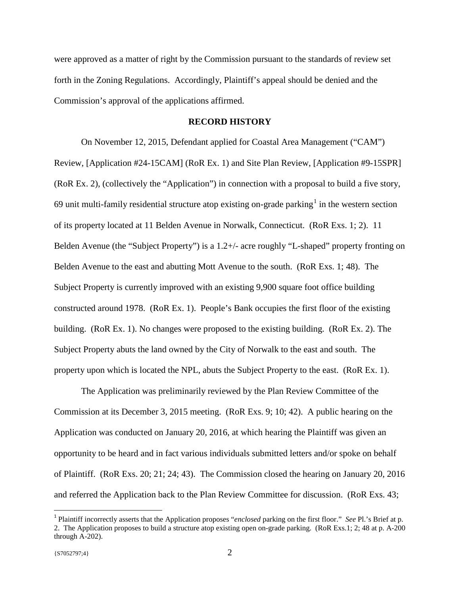were approved as a matter of right by the Commission pursuant to the standards of review set forth in the Zoning Regulations. Accordingly, Plaintiff's appeal should be denied and the Commission's approval of the applications affirmed.

### **RECORD HISTORY**

On November 12, 2015, Defendant applied for Coastal Area Management ("CAM") Review, [Application #24-15CAM] (RoR Ex. 1) and Site Plan Review, [Application #9-15SPR] (RoR Ex. 2), (collectively the "Application") in connection with a proposal to build a five story, 69 unit multi-family residential structure atop existing on-grade parking<sup>[1](#page-1-0)</sup> in the western section of its property located at 11 Belden Avenue in Norwalk, Connecticut. (RoR Exs. 1; 2). 11 Belden Avenue (the "Subject Property") is a 1.2+/- acre roughly "L-shaped" property fronting on Belden Avenue to the east and abutting Mott Avenue to the south. (RoR Exs. 1; 48). The Subject Property is currently improved with an existing 9,900 square foot office building constructed around 1978. (RoR Ex. 1). People's Bank occupies the first floor of the existing building. (RoR Ex. 1). No changes were proposed to the existing building. (RoR Ex. 2). The Subject Property abuts the land owned by the City of Norwalk to the east and south. The property upon which is located the NPL, abuts the Subject Property to the east. (RoR Ex. 1).

The Application was preliminarily reviewed by the Plan Review Committee of the Commission at its December 3, 2015 meeting. (RoR Exs. 9; 10; 42). A public hearing on the Application was conducted on January 20, 2016, at which hearing the Plaintiff was given an opportunity to be heard and in fact various individuals submitted letters and/or spoke on behalf of Plaintiff. (RoR Exs. 20; 21; 24; 43). The Commission closed the hearing on January 20, 2016 and referred the Application back to the Plan Review Committee for discussion. (RoR Exs. 43;

<span id="page-1-0"></span> <sup>1</sup> Plaintiff incorrectly asserts that the Application proposes "*enclosed* parking on the first floor." *See* Pl.'s Brief at p. 2. The Application proposes to build a structure atop existing open on-grade parking. (RoR Exs.1; 2; 48 at p. A-200 through A-202).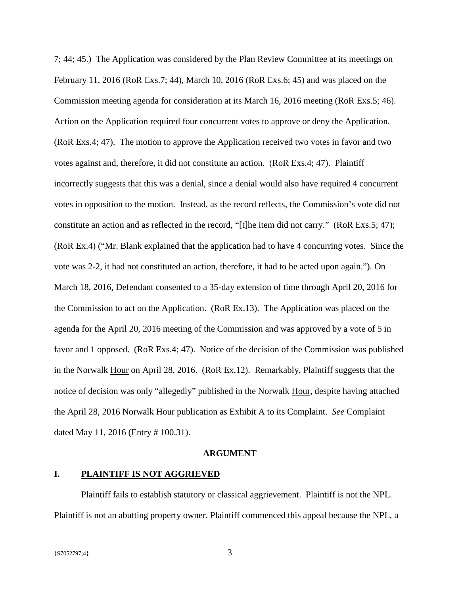7; 44; 45.) The Application was considered by the Plan Review Committee at its meetings on February 11, 2016 (RoR Exs.7; 44), March 10, 2016 (RoR Exs.6; 45) and was placed on the Commission meeting agenda for consideration at its March 16, 2016 meeting (RoR Exs.5; 46). Action on the Application required four concurrent votes to approve or deny the Application. (RoR Exs.4; 47). The motion to approve the Application received two votes in favor and two votes against and, therefore, it did not constitute an action. (RoR Exs.4; 47). Plaintiff incorrectly suggests that this was a denial, since a denial would also have required 4 concurrent votes in opposition to the motion. Instead, as the record reflects, the Commission's vote did not constitute an action and as reflected in the record, "[t]he item did not carry." (RoR Exs.5; 47); (RoR Ex.4) ("Mr. Blank explained that the application had to have 4 concurring votes. Since the vote was 2-2, it had not constituted an action, therefore, it had to be acted upon again."). On March 18, 2016, Defendant consented to a 35-day extension of time through April 20, 2016 for the Commission to act on the Application. (RoR Ex.13). The Application was placed on the agenda for the April 20, 2016 meeting of the Commission and was approved by a vote of 5 in favor and 1 opposed. (RoR Exs.4; 47). Notice of the decision of the Commission was published in the Norwalk Hour on April 28, 2016. (RoR Ex.12). Remarkably, Plaintiff suggests that the notice of decision was only "allegedly" published in the Norwalk Hour, despite having attached the April 28, 2016 Norwalk Hour publication as Exhibit A to its Complaint. *See* Complaint dated May 11, 2016 (Entry # 100.31).

#### **ARGUMENT**

### **I. PLAINTIFF IS NOT AGGRIEVED**

Plaintiff fails to establish statutory or classical aggrievement. Plaintiff is not the NPL. Plaintiff is not an abutting property owner. Plaintiff commenced this appeal because the NPL, a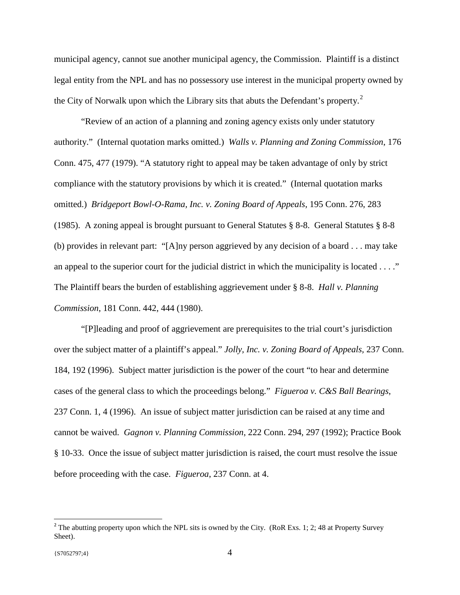municipal agency, cannot sue another municipal agency, the Commission. Plaintiff is a distinct legal entity from the NPL and has no possessory use interest in the municipal property owned by the City of Norwalk upon which the Library sits that abuts the Defendant's property.<sup>[2](#page-3-0)</sup>

"Review of an action of a planning and zoning agency exists only under statutory authority." (Internal quotation marks omitted.) *Walls v. Planning and Zoning Commission*, 176 Conn. 475, 477 (1979). "A statutory right to appeal may be taken advantage of only by strict compliance with the statutory provisions by which it is created." (Internal quotation marks omitted.) *Bridgeport Bowl-O-Rama, Inc. v. Zoning Board of Appeals*, 195 Conn. 276, 283 (1985). A zoning appeal is brought pursuant to General Statutes § 8-8. General Statutes § 8-8 (b) provides in relevant part: "[A]ny person aggrieved by any decision of a board . . . may take an appeal to the superior court for the judicial district in which the municipality is located . . . ." The Plaintiff bears the burden of establishing aggrievement under § 8-8. *Hall v. Planning Commission*, 181 Conn. 442, 444 (1980).

"[P]leading and proof of aggrievement are prerequisites to the trial court's jurisdiction over the subject matter of a plaintiff's appeal." *Jolly, Inc. v. Zoning Board of Appeals,* 237 Conn. 184, 192 (1996). Subject matter jurisdiction is the power of the court "to hear and determine cases of the general class to which the proceedings belong." *Figueroa v. C&S Ball Bearings*, 237 Conn. 1, 4 (1996). An issue of subject matter jurisdiction can be raised at any time and cannot be waived. *Gagnon v. Planning Commission*, 222 Conn. 294, 297 (1992); Practice Book § 10-33. Once the issue of subject matter jurisdiction is raised, the court must resolve the issue before proceeding with the case. *Figueroa*, 237 Conn. at 4.

<span id="page-3-0"></span><sup>&</sup>lt;sup>2</sup> The abutting property upon which the NPL sits is owned by the City. (RoR Exs. 1; 2; 48 at Property Survey Sheet).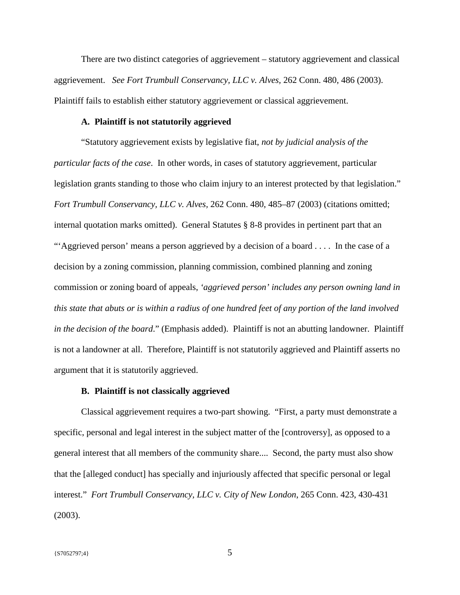There are two distinct categories of aggrievement – statutory aggrievement and classical aggrievement. *See Fort Trumbull Conservancy, LLC v. Alves,* 262 Conn. 480, 486 (2003). Plaintiff fails to establish either statutory aggrievement or classical aggrievement.

### **A. Plaintiff is not statutorily aggrieved**

"Statutory aggrievement exists by legislative fiat, *not by judicial analysis of the particular facts of the case*. In other words, in cases of statutory aggrievement, particular legislation grants standing to those who claim injury to an interest protected by that legislation." *Fort Trumbull Conservancy, LLC v. Alves,* 262 Conn. 480, 485–87 (2003) (citations omitted; internal quotation marks omitted). General Statutes § 8-8 provides in pertinent part that an "'Aggrieved person' means a person aggrieved by a decision of a board . . . . In the case of a decision by a zoning commission, planning commission, combined planning and zoning commission or zoning board of appeals, *'aggrieved person' includes any person owning land in this state that abuts or is within a radius of one hundred feet of any portion of the land involved in the decision of the board*." (Emphasis added). Plaintiff is not an abutting landowner. Plaintiff is not a landowner at all. Therefore, Plaintiff is not statutorily aggrieved and Plaintiff asserts no argument that it is statutorily aggrieved.

### **B. Plaintiff is not classically aggrieved**

Classical aggrievement requires a two-part showing. "First, a party must demonstrate a specific, personal and legal interest in the subject matter of the [controversy], as opposed to a general interest that all members of the community share.... Second, the party must also show that the [alleged conduct] has specially and injuriously affected that specific personal or legal interest." *Fort Trumbull Conservancy, LLC v. City of New London*, 265 Conn. 423, 430-431 (2003).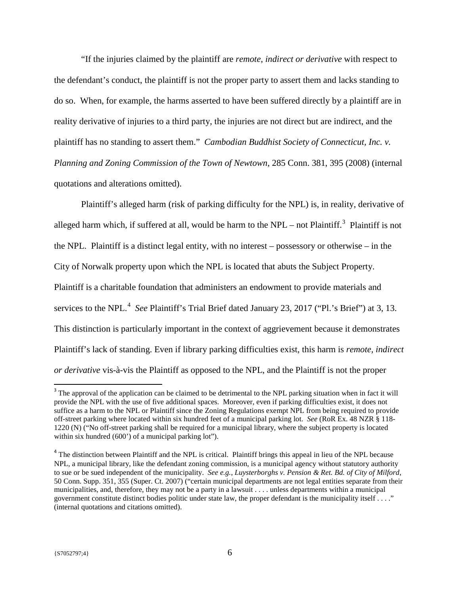"If the injuries claimed by the plaintiff are *remote, indirect or derivative* with respect to the defendant's conduct, the plaintiff is not the proper party to assert them and lacks standing to do so. When, for example, the harms asserted to have been suffered directly by a plaintiff are in reality derivative of injuries to a third party, the injuries are not direct but are indirect, and the plaintiff has no standing to assert them." *Cambodian Buddhist Society of Connecticut, Inc. v. Planning and Zoning Commission of the Town of Newtown*, 285 Conn. 381, 395 (2008) (internal quotations and alterations omitted).

Plaintiff's alleged harm (risk of parking difficulty for the NPL) is, in reality, derivative of alleged harm which, if suffered at all, would be harm to the NPL – not Plaintiff.<sup>[3](#page-5-0)</sup> Plaintiff is not the NPL. Plaintiff is a distinct legal entity, with no interest – possessory or otherwise – in the City of Norwalk property upon which the NPL is located that abuts the Subject Property. Plaintiff is a charitable foundation that administers an endowment to provide materials and services to the NPL.<sup>[4](#page-5-1)</sup> See Plaintiff's Trial Brief dated January 23, 2017 ("Pl.'s Brief") at 3, 13. This distinction is particularly important in the context of aggrievement because it demonstrates Plaintiff's lack of standing. Even if library parking difficulties exist, this harm is *remote, indirect or derivative* vis-à-vis the Plaintiff as opposed to the NPL, and the Plaintiff is not the proper

<span id="page-5-0"></span><sup>&</sup>lt;sup>3</sup> The approval of the application can be claimed to be detrimental to the NPL parking situation when in fact it will provide the NPL with the use of five additional spaces. Moreover, even if parking difficulties exist, it does not suffice as a harm to the NPL or Plaintiff since the Zoning Regulations exempt NPL from being required to provide off-street parking where located within six hundred feet of a municipal parking lot. *See* (RoR Ex. 48 NZR § 118- 1220 (N) ("No off-street parking shall be required for a municipal library, where the subject property is located within six hundred (600') of a municipal parking lot").

<span id="page-5-1"></span><sup>&</sup>lt;sup>4</sup> The distinction between Plaintiff and the NPL is critical. Plaintiff brings this appeal in lieu of the NPL because NPL, a municipal library, like the defendant zoning commission, is a municipal agency without statutory authority to sue or be sued independent of the municipality. *See e.g.*, *Luysterborghs v. Pension & Ret. Bd. of City of Milford*, 50 Conn. Supp. 351, 355 (Super. Ct. 2007) ("certain municipal departments are not legal entities separate from their municipalities, and, therefore, they may not be a party in a lawsuit . . . . unless departments within a municipal government constitute distinct bodies politic under state law, the proper defendant is the municipality itself . . . ." (internal quotations and citations omitted).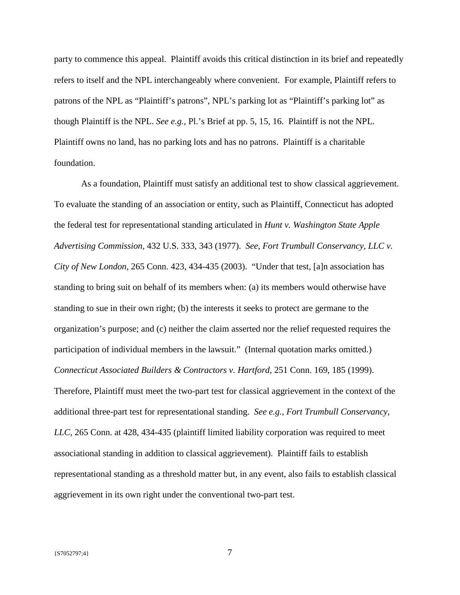party to commence this appeal. Plaintiff avoids this critical distinction in its brief and repeatedly refers to itself and the NPL interchangeably where convenient. For example, Plaintiff refers to patrons of the NPL as "Plaintiff's patrons", NPL's parking lot as "Plaintiff's parking lot" as though Plaintiff is the NPL. *See e.g.*, Pl.'s Brief at pp. 5, 15, 16. Plaintiff is not the NPL. Plaintiff owns no land, has no parking lots and has no patrons. Plaintiff is a charitable foundation.

As a foundation, Plaintiff must satisfy an additional test to show classical aggrievement. To evaluate the standing of an association or entity, such as Plaintiff, Connecticut has adopted the federal test for representational standing articulated in *Hunt v. Washington State Apple Advertising Commission,* 432 U.S. 333, 343 (1977). *See*, *Fort Trumbull Conservancy, LLC v. City of New London*, 265 Conn. 423, 434-435 (2003). "Under that test, [a]n association has standing to bring suit on behalf of its members when: (a) its members would otherwise have standing to sue in their own right; (b) the interests it seeks to protect are germane to the organization's purpose; and (c) neither the claim asserted nor the relief requested requires the participation of individual members in the lawsuit." (Internal quotation marks omitted.) *Connecticut Associated Builders & Contractors v. Hartford,* 251 Conn. 169, 185 (1999). Therefore, Plaintiff must meet the two-part test for classical aggrievement in the context of the additional three-part test for representational standing. *See e.g., Fort Trumbull Conservancy, LLC*, 265 Conn. at 428, 434-435 (plaintiff limited liability corporation was required to meet associational standing in addition to classical aggrievement).Plaintiff fails to establish representational standing as a threshold matter but, in any event, also fails to establish classical aggrievement in its own right under the conventional two-part test.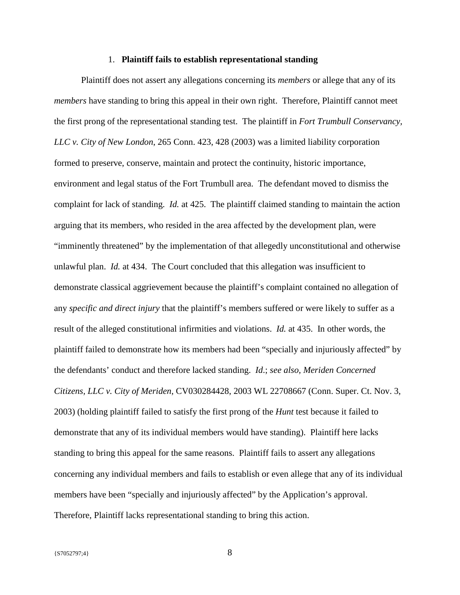#### 1. **Plaintiff fails to establish representational standing**

Plaintiff does not assert any allegations concerning its *members* or allege that any of its *members* have standing to bring this appeal in their own right. Therefore, Plaintiff cannot meet the first prong of the representational standing test. The plaintiff in *Fort Trumbull Conservancy, LLC v. City of New London*, 265 Conn. 423, 428 (2003) was a limited liability corporation formed to preserve, conserve, maintain and protect the continuity, historic importance, environment and legal status of the Fort Trumbull area. The defendant moved to dismiss the complaint for lack of standing. *Id.* at 425. The plaintiff claimed standing to maintain the action arguing that its members, who resided in the area affected by the development plan, were "imminently threatened" by the implementation of that allegedly unconstitutional and otherwise unlawful plan. *Id.* at 434. The Court concluded that this allegation was insufficient to demonstrate classical aggrievement because the plaintiff's complaint contained no allegation of any *specific and direct injury* that the plaintiff's members suffered or were likely to suffer as a result of the alleged constitutional infirmities and violations. *Id.* at 435. In other words, the plaintiff failed to demonstrate how its members had been "specially and injuriously affected" by the defendants' conduct and therefore lacked standing. *Id*.; *see also, Meriden Concerned Citizens, LLC v. City of Meriden*, CV030284428, 2003 WL 22708667 (Conn. Super. Ct. Nov. 3, 2003) (holding plaintiff failed to satisfy the first prong of the *Hunt* test because it failed to demonstrate that any of its individual members would have standing). Plaintiff here lacks standing to bring this appeal for the same reasons. Plaintiff fails to assert any allegations concerning any individual members and fails to establish or even allege that any of its individual members have been "specially and injuriously affected" by the Application's approval. Therefore, Plaintiff lacks representational standing to bring this action.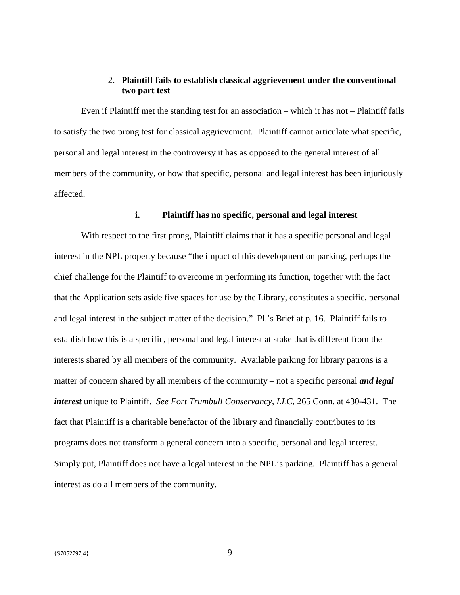### 2. **Plaintiff fails to establish classical aggrievement under the conventional two part test**

Even if Plaintiff met the standing test for an association – which it has not – Plaintiff fails to satisfy the two prong test for classical aggrievement. Plaintiff cannot articulate what specific, personal and legal interest in the controversy it has as opposed to the general interest of all members of the community, or how that specific, personal and legal interest has been injuriously affected.

## **i. Plaintiff has no specific, personal and legal interest**

With respect to the first prong, Plaintiff claims that it has a specific personal and legal interest in the NPL property because "the impact of this development on parking, perhaps the chief challenge for the Plaintiff to overcome in performing its function, together with the fact that the Application sets aside five spaces for use by the Library, constitutes a specific, personal and legal interest in the subject matter of the decision." Pl.'s Brief at p. 16. Plaintiff fails to establish how this is a specific, personal and legal interest at stake that is different from the interests shared by all members of the community. Available parking for library patrons is a matter of concern shared by all members of the community – not a specific personal *and legal interest* unique to Plaintiff. *See Fort Trumbull Conservancy, LLC*, 265 Conn. at 430-431. The fact that Plaintiff is a charitable benefactor of the library and financially contributes to its programs does not transform a general concern into a specific, personal and legal interest. Simply put, Plaintiff does not have a legal interest in the NPL's parking. Plaintiff has a general interest as do all members of the community.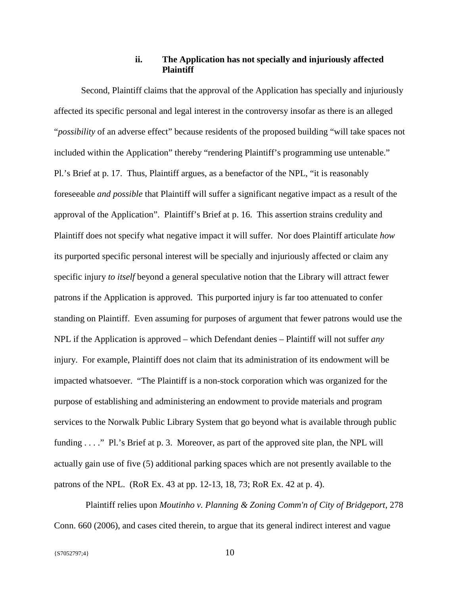### **ii. The Application has not specially and injuriously affected Plaintiff**

Second, Plaintiff claims that the approval of the Application has specially and injuriously affected its specific personal and legal interest in the controversy insofar as there is an alleged "*possibility* of an adverse effect" because residents of the proposed building "will take spaces not included within the Application" thereby "rendering Plaintiff's programming use untenable." Pl.'s Brief at p. 17. Thus, Plaintiff argues, as a benefactor of the NPL, "it is reasonably foreseeable *and possible* that Plaintiff will suffer a significant negative impact as a result of the approval of the Application". Plaintiff's Brief at p. 16. This assertion strains credulity and Plaintiff does not specify what negative impact it will suffer. Nor does Plaintiff articulate *how* its purported specific personal interest will be specially and injuriously affected or claim any specific injury *to itself* beyond a general speculative notion that the Library will attract fewer patrons if the Application is approved. This purported injury is far too attenuated to confer standing on Plaintiff. Even assuming for purposes of argument that fewer patrons would use the NPL if the Application is approved – which Defendant denies – Plaintiff will not suffer *any* injury. For example, Plaintiff does not claim that its administration of its endowment will be impacted whatsoever. "The Plaintiff is a non-stock corporation which was organized for the purpose of establishing and administering an endowment to provide materials and program services to the Norwalk Public Library System that go beyond what is available through public funding . . . ." Pl.'s Brief at p. 3. Moreover, as part of the approved site plan, the NPL will actually gain use of five (5) additional parking spaces which are not presently available to the patrons of the NPL. (RoR Ex. 43 at pp. 12-13, 18, 73; RoR Ex. 42 at p. 4).

 Plaintiff relies upon *Moutinho v. Planning & Zoning Comm'n of City of Bridgeport*, 278 Conn. 660 (2006), and cases cited therein, to argue that its general indirect interest and vague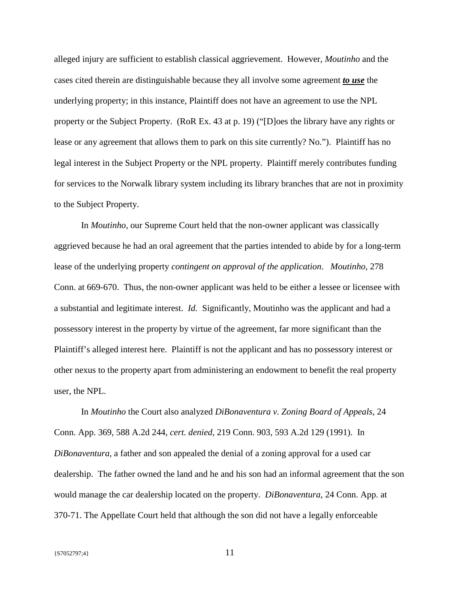alleged injury are sufficient to establish classical aggrievement. However, *Moutinho* and the cases cited therein are distinguishable because they all involve some agreement *to use* the underlying property; in this instance, Plaintiff does not have an agreement to use the NPL property or the Subject Property. (RoR Ex. 43 at p. 19) ("[D]oes the library have any rights or lease or any agreement that allows them to park on this site currently? No."). Plaintiff has no legal interest in the Subject Property or the NPL property. Plaintiff merely contributes funding for services to the Norwalk library system including its library branches that are not in proximity to the Subject Property.

In *Moutinho*, our Supreme Court held that the non-owner applicant was classically aggrieved because he had an oral agreement that the parties intended to abide by for a long-term lease of the underlying property *contingent on approval of the application*. *Moutinho*, 278 Conn. at 669-670. Thus, the non-owner applicant was held to be either a lessee or licensee with a substantial and legitimate interest. *Id.* Significantly, Moutinho was the applicant and had a possessory interest in the property by virtue of the agreement, far more significant than the Plaintiff's alleged interest here. Plaintiff is not the applicant and has no possessory interest or other nexus to the property apart from administering an endowment to benefit the real property user, the NPL.

In *Moutinho* the Court also analyzed *DiBonaventura v. Zoning Board of Appeals*, 24 Conn. App. 369, 588 A.2d 244, *cert. denied*, 219 Conn. 903, 593 A.2d 129 (1991). In *DiBonaventura*, a father and son appealed the denial of a zoning approval for a used car dealership. The father owned the land and he and his son had an informal agreement that the son would manage the car dealership located on the property. *DiBonaventura*, 24 Conn. App. at 370-71. The Appellate Court held that although the son did not have a legally enforceable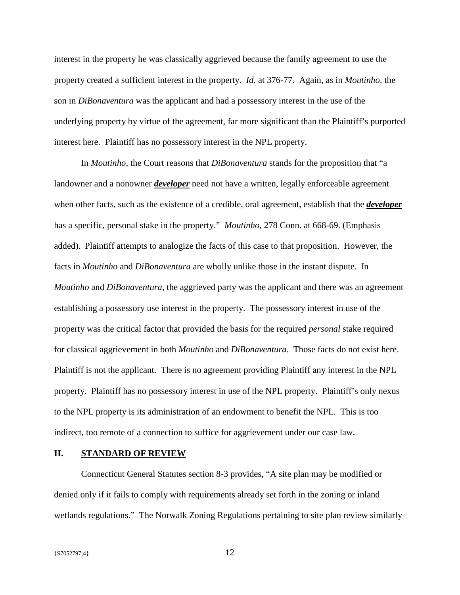interest in the property he was classically aggrieved because the family agreement to use the property created a sufficient interest in the property. *Id.* at 376-77. Again, as in *Moutinho,* the son in *DiBonaventura* was the applicant and had a possessory interest in the use of the underlying property by virtue of the agreement, far more significant than the Plaintiff's purported interest here. Plaintiff has no possessory interest in the NPL property.

In *Moutinho*, the Court reasons that *DiBonaventura* stands for the proposition that "a landowner and a nonowner *developer* need not have a written, legally enforceable agreement when other facts, such as the existence of a credible, oral agreement, establish that the *developer* has a specific, personal stake in the property." *Moutinho*, 278 Conn. at 668-69. (Emphasis added). Plaintiff attempts to analogize the facts of this case to that proposition. However, the facts in *Moutinho* and *DiBonaventura* are wholly unlike those in the instant dispute. In *Moutinho* and *DiBonaventura*, the aggrieved party was the applicant and there was an agreement establishing a possessory use interest in the property. The possessory interest in use of the property was the critical factor that provided the basis for the required *personal* stake required for classical aggrievement in both *Moutinho* and *DiBonaventura*. Those facts do not exist here. Plaintiff is not the applicant. There is no agreement providing Plaintiff any interest in the NPL property. Plaintiff has no possessory interest in use of the NPL property. Plaintiff's only nexus to the NPL property is its administration of an endowment to benefit the NPL. This is too indirect, too remote of a connection to suffice for aggrievement under our case law.

#### **II. STANDARD OF REVIEW**

Connecticut General Statutes section 8-3 provides, "A site plan may be modified or denied only if it fails to comply with requirements already set forth in the zoning or inland wetlands regulations." The Norwalk Zoning Regulations pertaining to site plan review similarly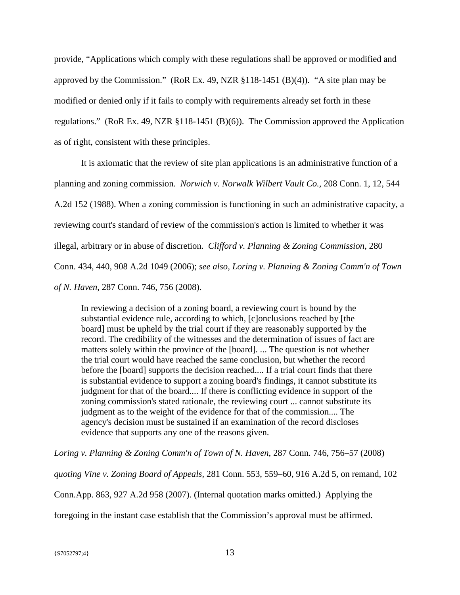provide, "Applications which comply with these regulations shall be approved or modified and approved by the Commission." (RoR Ex. 49, NZR §118-1451 (B)(4)). "A site plan may be modified or denied only if it fails to comply with requirements already set forth in these regulations." (RoR Ex. 49, NZR §118-1451 (B)(6)). The Commission approved the Application as of right, consistent with these principles.

It is axiomatic that the review of site plan applications is an administrative function of a planning and zoning commission. *Norwich v. Norwalk Wilbert Vault Co.,* 208 Conn. 1, 12, 544 A.2d 152 (1988). When a zoning commission is functioning in such an administrative capacity, a reviewing court's standard of review of the commission's action is limited to whether it was illegal, arbitrary or in abuse of discretion. *Clifford v. Planning & Zoning Commission,* 280 Conn. 434, 440, 908 A.2d 1049 (2006); *see also, Loring v. Planning & Zoning Comm'n of Town of N. Haven*, 287 Conn. 746, 756 (2008).

In reviewing a decision of a zoning board, a reviewing court is bound by the substantial evidence rule, according to which, [c]onclusions reached by [the board] must be upheld by the trial court if they are reasonably supported by the record. The credibility of the witnesses and the determination of issues of fact are matters solely within the province of the [board]. ... The question is not whether the trial court would have reached the same conclusion, but whether the record before the [board] supports the decision reached.... If a trial court finds that there is substantial evidence to support a zoning board's findings, it cannot substitute its judgment for that of the board.... If there is conflicting evidence in support of the zoning commission's stated rationale, the reviewing court ... cannot substitute its judgment as to the weight of the evidence for that of the commission.... The agency's decision must be sustained if an examination of the record discloses evidence that supports any one of the reasons given.

*Loring v. Planning & Zoning Comm'n of Town of N. Haven*, 287 Conn. 746, 756–57 (2008)

*quoting Vine v. Zoning Board of Appeals,* 281 Conn. 553, 559–60, 916 A.2d 5, on remand, 102

Conn.App. 863, 927 A.2d 958 (2007). (Internal quotation marks omitted.) Applying the

foregoing in the instant case establish that the Commission's approval must be affirmed.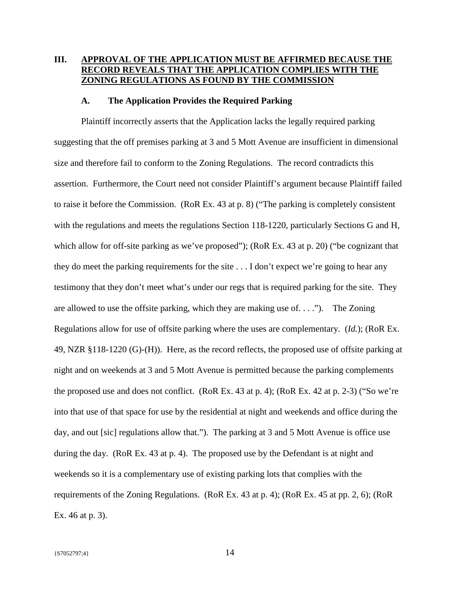# **III. APPROVAL OF THE APPLICATION MUST BE AFFIRMED BECAUSE THE RECORD REVEALS THAT THE APPLICATION COMPLIES WITH THE ZONING REGULATIONS AS FOUND BY THE COMMISSION**

### **A. The Application Provides the Required Parking**

Plaintiff incorrectly asserts that the Application lacks the legally required parking suggesting that the off premises parking at 3 and 5 Mott Avenue are insufficient in dimensional size and therefore fail to conform to the Zoning Regulations. The record contradicts this assertion. Furthermore, the Court need not consider Plaintiff's argument because Plaintiff failed to raise it before the Commission. (RoR Ex. 43 at p. 8) ("The parking is completely consistent with the regulations and meets the regulations Section 118-1220, particularly Sections G and H, which allow for off-site parking as we've proposed"); (RoR Ex. 43 at p. 20) ("be cognizant that they do meet the parking requirements for the site . . . I don't expect we're going to hear any testimony that they don't meet what's under our regs that is required parking for the site. They are allowed to use the offsite parking, which they are making use of. . . ."). The Zoning Regulations allow for use of offsite parking where the uses are complementary. (*Id.*); (RoR Ex. 49, NZR §118-1220 (G)-(H)). Here, as the record reflects, the proposed use of offsite parking at night and on weekends at 3 and 5 Mott Avenue is permitted because the parking complements the proposed use and does not conflict. (RoR Ex. 43 at p. 4); (RoR Ex. 42 at p. 2-3) ("So we're into that use of that space for use by the residential at night and weekends and office during the day, and out [sic] regulations allow that."). The parking at 3 and 5 Mott Avenue is office use during the day. (RoR Ex. 43 at p. 4). The proposed use by the Defendant is at night and weekends so it is a complementary use of existing parking lots that complies with the requirements of the Zoning Regulations. (RoR Ex. 43 at p. 4); (RoR Ex. 45 at pp. 2, 6); (RoR Ex. 46 at p. 3).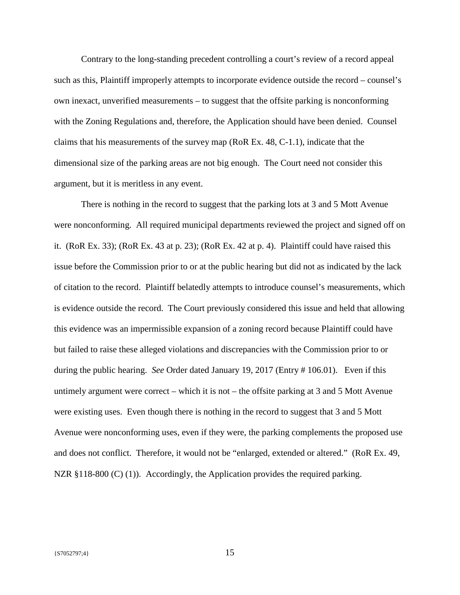Contrary to the long-standing precedent controlling a court's review of a record appeal such as this, Plaintiff improperly attempts to incorporate evidence outside the record – counsel's own inexact, unverified measurements – to suggest that the offsite parking is nonconforming with the Zoning Regulations and, therefore, the Application should have been denied. Counsel claims that his measurements of the survey map (RoR Ex. 48, C-1.1), indicate that the dimensional size of the parking areas are not big enough. The Court need not consider this argument, but it is meritless in any event.

There is nothing in the record to suggest that the parking lots at 3 and 5 Mott Avenue were nonconforming. All required municipal departments reviewed the project and signed off on it. (RoR Ex. 33); (RoR Ex. 43 at p. 23); (RoR Ex. 42 at p. 4). Plaintiff could have raised this issue before the Commission prior to or at the public hearing but did not as indicated by the lack of citation to the record. Plaintiff belatedly attempts to introduce counsel's measurements, which is evidence outside the record. The Court previously considered this issue and held that allowing this evidence was an impermissible expansion of a zoning record because Plaintiff could have but failed to raise these alleged violations and discrepancies with the Commission prior to or during the public hearing. *See* Order dated January 19, 2017 (Entry # 106.01). Even if this untimely argument were correct – which it is not – the offsite parking at 3 and 5 Mott Avenue were existing uses. Even though there is nothing in the record to suggest that 3 and 5 Mott Avenue were nonconforming uses, even if they were, the parking complements the proposed use and does not conflict. Therefore, it would not be "enlarged, extended or altered." (RoR Ex. 49, NZR §118-800 (C) (1)). Accordingly, the Application provides the required parking.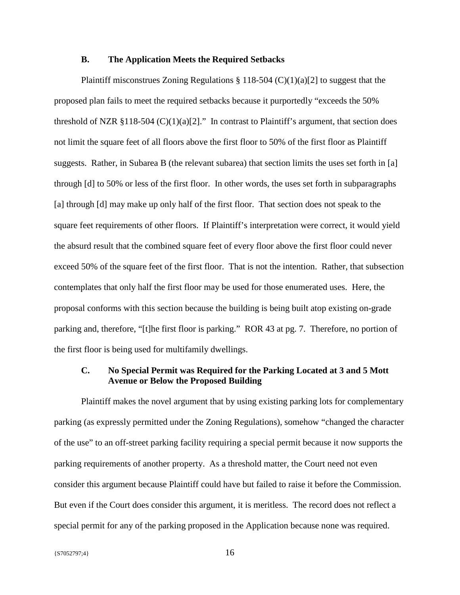### **B. The Application Meets the Required Setbacks**

Plaintiff misconstrues Zoning Regulations  $\S 118-504$  (C)(1)(a)[2] to suggest that the proposed plan fails to meet the required setbacks because it purportedly "exceeds the 50% threshold of NZR §118-504 (C)(1)(a)[2]." In contrast to Plaintiff's argument, that section does not limit the square feet of all floors above the first floor to 50% of the first floor as Plaintiff suggests. Rather, in Subarea B (the relevant subarea) that section limits the uses set forth in [a] through [d] to 50% or less of the first floor. In other words, the uses set forth in subparagraphs [a] through [d] may make up only half of the first floor. That section does not speak to the square feet requirements of other floors. If Plaintiff's interpretation were correct, it would yield the absurd result that the combined square feet of every floor above the first floor could never exceed 50% of the square feet of the first floor. That is not the intention. Rather, that subsection contemplates that only half the first floor may be used for those enumerated uses. Here, the proposal conforms with this section because the building is being built atop existing on-grade parking and, therefore, "[t]he first floor is parking." ROR 43 at pg. 7. Therefore, no portion of the first floor is being used for multifamily dwellings.

### **C. No Special Permit was Required for the Parking Located at 3 and 5 Mott Avenue or Below the Proposed Building**

Plaintiff makes the novel argument that by using existing parking lots for complementary parking (as expressly permitted under the Zoning Regulations), somehow "changed the character of the use" to an off-street parking facility requiring a special permit because it now supports the parking requirements of another property. As a threshold matter, the Court need not even consider this argument because Plaintiff could have but failed to raise it before the Commission. But even if the Court does consider this argument, it is meritless. The record does not reflect a special permit for any of the parking proposed in the Application because none was required.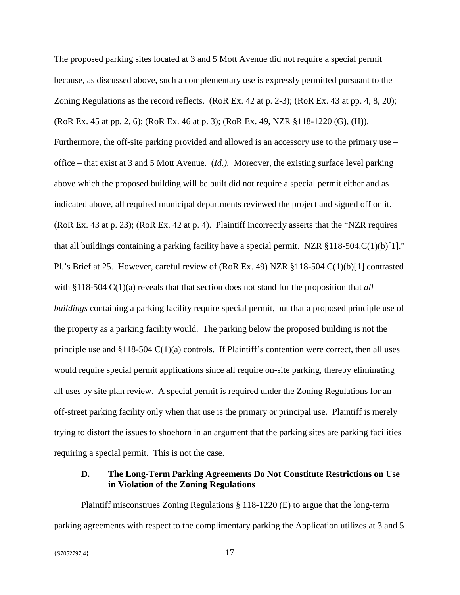The proposed parking sites located at 3 and 5 Mott Avenue did not require a special permit because, as discussed above, such a complementary use is expressly permitted pursuant to the Zoning Regulations as the record reflects. (RoR Ex. 42 at p. 2-3); (RoR Ex. 43 at pp. 4, 8, 20); (RoR Ex. 45 at pp. 2, 6); (RoR Ex. 46 at p. 3); (RoR Ex. 49, NZR §118-1220 (G), (H)). Furthermore, the off-site parking provided and allowed is an accessory use to the primary use – office – that exist at 3 and 5 Mott Avenue. (*Id.).* Moreover, the existing surface level parking above which the proposed building will be built did not require a special permit either and as indicated above, all required municipal departments reviewed the project and signed off on it. (RoR Ex. 43 at p. 23); (RoR Ex. 42 at p. 4). Plaintiff incorrectly asserts that the "NZR requires that all buildings containing a parking facility have a special permit. NZR  $\S 118-504$ .C(1)(b)[1]." Pl.'s Brief at 25. However, careful review of (RoR Ex. 49) NZR §118-504 C(1)(b)[1] contrasted with §118-504 C(1)(a) reveals that that section does not stand for the proposition that *all buildings* containing a parking facility require special permit, but that a proposed principle use of the property as a parking facility would. The parking below the proposed building is not the principle use and  $\S118-504 \text{ C}(1)(a)$  controls. If Plaintiff's contention were correct, then all uses would require special permit applications since all require on-site parking, thereby eliminating all uses by site plan review. A special permit is required under the Zoning Regulations for an off-street parking facility only when that use is the primary or principal use. Plaintiff is merely trying to distort the issues to shoehorn in an argument that the parking sites are parking facilities requiring a special permit. This is not the case.

## **D. The Long-Term Parking Agreements Do Not Constitute Restrictions on Use in Violation of the Zoning Regulations**

Plaintiff misconstrues Zoning Regulations § 118-1220 (E) to argue that the long-term parking agreements with respect to the complimentary parking the Application utilizes at 3 and 5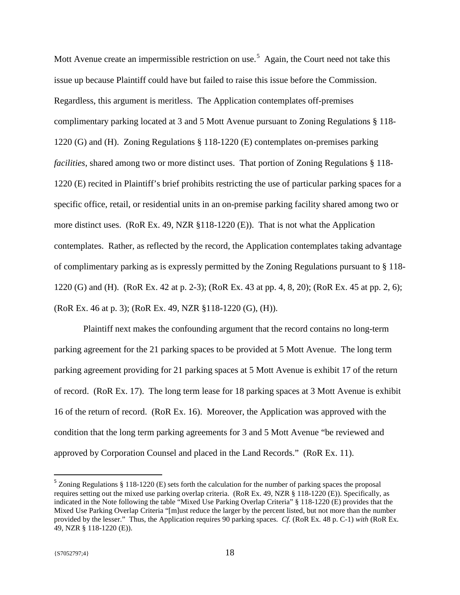Mott Avenue create an impermissible restriction on use.<sup>[5](#page-17-0)</sup> Again, the Court need not take this issue up because Plaintiff could have but failed to raise this issue before the Commission. Regardless, this argument is meritless. The Application contemplates off-premises complimentary parking located at 3 and 5 Mott Avenue pursuant to Zoning Regulations § 118- 1220 (G) and (H). Zoning Regulations § 118-1220 (E) contemplates on-premises parking *facilities*, shared among two or more distinct uses. That portion of Zoning Regulations § 118- 1220 (E) recited in Plaintiff's brief prohibits restricting the use of particular parking spaces for a specific office, retail, or residential units in an on-premise parking facility shared among two or more distinct uses. (RoR Ex. 49, NZR §118-1220 (E)). That is not what the Application contemplates. Rather, as reflected by the record, the Application contemplates taking advantage of complimentary parking as is expressly permitted by the Zoning Regulations pursuant to § 118- 1220 (G) and (H). (RoR Ex. 42 at p. 2-3); (RoR Ex. 43 at pp. 4, 8, 20); (RoR Ex. 45 at pp. 2, 6); (RoR Ex. 46 at p. 3); (RoR Ex. 49, NZR §118-1220 (G), (H)).

Plaintiff next makes the confounding argument that the record contains no long-term parking agreement for the 21 parking spaces to be provided at 5 Mott Avenue. The long term parking agreement providing for 21 parking spaces at 5 Mott Avenue is exhibit 17 of the return of record. (RoR Ex. 17). The long term lease for 18 parking spaces at 3 Mott Avenue is exhibit 16 of the return of record. (RoR Ex. 16). Moreover, the Application was approved with the condition that the long term parking agreements for 3 and 5 Mott Avenue "be reviewed and approved by Corporation Counsel and placed in the Land Records." (RoR Ex. 11).

<span id="page-17-0"></span> <sup>5</sup> Zoning Regulations § 118-1220 (E) sets forth the calculation for the number of parking spaces the proposal requires setting out the mixed use parking overlap criteria. (RoR Ex. 49, NZR § 118-1220 (E)). Specifically, as indicated in the Note following the table "Mixed Use Parking Overlap Criteria" § 118-1220 (E) provides that the Mixed Use Parking Overlap Criteria "[m]ust reduce the larger by the percent listed, but not more than the number provided by the lesser." Thus, the Application requires 90 parking spaces. *Cf.* (RoR Ex. 48 p. C-1) *with* (RoR Ex. 49, NZR § 118-1220 (E)).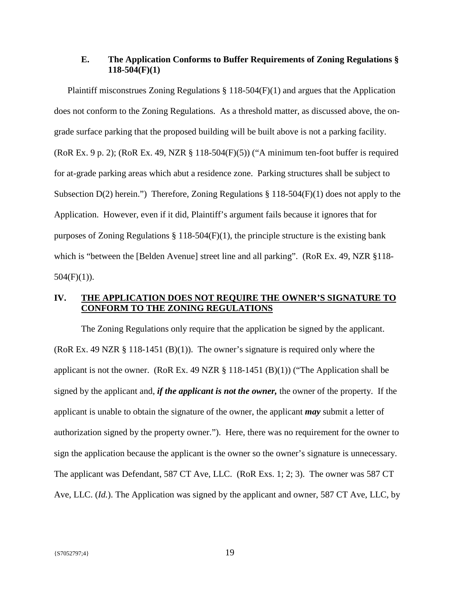## **E. The Application Conforms to Buffer Requirements of Zoning Regulations § 118-504(F)(1)**

Plaintiff misconstrues Zoning Regulations  $\S 118-504(F)(1)$  and argues that the Application does not conform to the Zoning Regulations. As a threshold matter, as discussed above, the ongrade surface parking that the proposed building will be built above is not a parking facility. (RoR Ex. 9 p. 2); (RoR Ex. 49, NZR § 118-504(F)(5)) ("A minimum ten-foot buffer is required for at-grade parking areas which abut a residence zone. Parking structures shall be subject to Subsection  $D(2)$  herein.") Therefore, Zoning Regulations § 118-504(F)(1) does not apply to the Application. However, even if it did, Plaintiff's argument fails because it ignores that for purposes of Zoning Regulations § 118-504(F)(1), the principle structure is the existing bank which is "between the [Belden Avenue] street line and all parking". (RoR Ex. 49, NZR §118- $504(F)(1)$ ).

## **IV. THE APPLICATION DOES NOT REQUIRE THE OWNER'S SIGNATURE TO CONFORM TO THE ZONING REGULATIONS**

The Zoning Regulations only require that the application be signed by the applicant. (RoR Ex. 49 NZR § 118-1451 (B)(1)). The owner's signature is required only where the applicant is not the owner. (RoR Ex. 49 NZR  $\S$  118-1451 (B)(1)) ("The Application shall be signed by the applicant and, *if the applicant is not the owner,* the owner of the property. If the applicant is unable to obtain the signature of the owner, the applicant *may* submit a letter of authorization signed by the property owner."). Here, there was no requirement for the owner to sign the application because the applicant is the owner so the owner's signature is unnecessary. The applicant was Defendant, 587 CT Ave, LLC. (RoR Exs. 1; 2; 3). The owner was 587 CT Ave, LLC. (*Id.*). The Application was signed by the applicant and owner, 587 CT Ave, LLC, by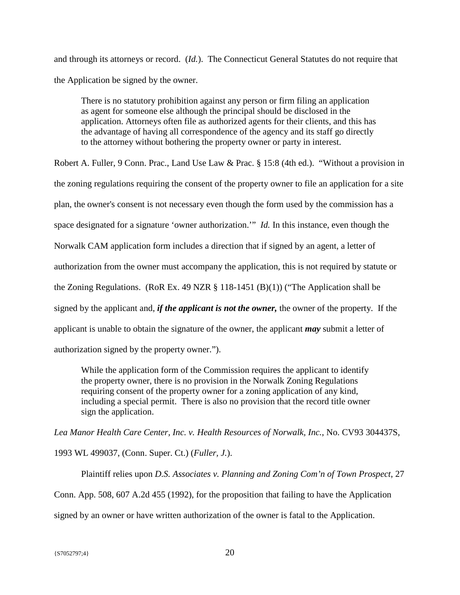and through its attorneys or record. (*Id.*). The Connecticut General Statutes do not require that the Application be signed by the owner.

There is no statutory prohibition against any person or firm filing an application as agent for someone else although the principal should be disclosed in the application. Attorneys often file as authorized agents for their clients, and this has the advantage of having all correspondence of the agency and its staff go directly to the attorney without bothering the property owner or party in interest.

Robert A. Fuller, 9 Conn. Prac., Land Use Law & Prac. § 15:8 (4th ed.). "Without a provision in the zoning regulations requiring the consent of the property owner to file an application for a site plan, the owner's consent is not necessary even though the form used by the commission has a space designated for a signature 'owner authorization.'" *Id.* In this instance, even though the Norwalk CAM application form includes a direction that if signed by an agent, a letter of authorization from the owner must accompany the application, this is not required by statute or the Zoning Regulations. (RoR Ex. 49 NZR § 118-1451 (B)(1)) ("The Application shall be signed by the applicant and, *if the applicant is not the owner,* the owner of the property. If the applicant is unable to obtain the signature of the owner, the applicant *may* submit a letter of authorization signed by the property owner.").

While the application form of the Commission requires the applicant to identify the property owner, there is no provision in the Norwalk Zoning Regulations requiring consent of the property owner for a zoning application of any kind, including a special permit. There is also no provision that the record title owner sign the application.

*Lea Manor Health Care Center, Inc. v. Health Resources of Norwalk, Inc.*, No. CV93 304437S, 1993 WL 499037, (Conn. Super. Ct.) (*Fuller, J.*).

Plaintiff relies upon *D.S. Associates v. Planning and Zoning Com'n of Town Prospect*, 27 Conn. App. 508, 607 A.2d 455 (1992), for the proposition that failing to have the Application signed by an owner or have written authorization of the owner is fatal to the Application.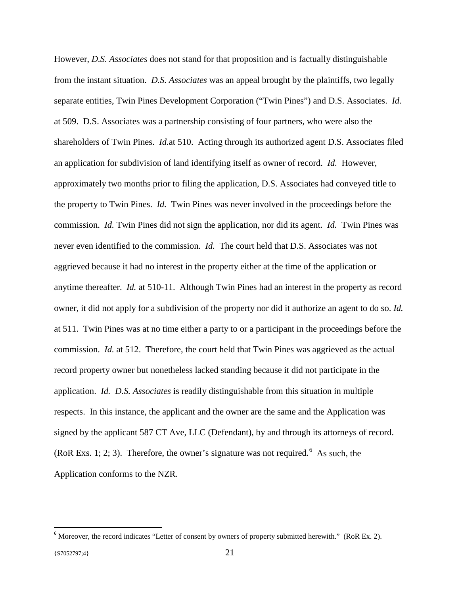However, *D.S. Associates* does not stand for that proposition and is factually distinguishable from the instant situation. *D.S. Associates* was an appeal brought by the plaintiffs, two legally separate entities, Twin Pines Development Corporation ("Twin Pines") and D.S. Associates. *Id.* at 509. D.S. Associates was a partnership consisting of four partners, who were also the shareholders of Twin Pines. *Id.*at 510. Acting through its authorized agent D.S. Associates filed an application for subdivision of land identifying itself as owner of record. *Id.* However, approximately two months prior to filing the application, D.S. Associates had conveyed title to the property to Twin Pines. *Id.* Twin Pines was never involved in the proceedings before the commission. *Id.* Twin Pines did not sign the application, nor did its agent. *Id.* Twin Pines was never even identified to the commission. *Id.* The court held that D.S. Associates was not aggrieved because it had no interest in the property either at the time of the application or anytime thereafter. *Id.* at 510-11. Although Twin Pines had an interest in the property as record owner, it did not apply for a subdivision of the property nor did it authorize an agent to do so. *Id.*  at 511. Twin Pines was at no time either a party to or a participant in the proceedings before the commission. *Id.* at 512. Therefore, the court held that Twin Pines was aggrieved as the actual record property owner but nonetheless lacked standing because it did not participate in the application. *Id. D.S. Associates* is readily distinguishable from this situation in multiple respects. In this instance, the applicant and the owner are the same and the Application was signed by the applicant 587 CT Ave, LLC (Defendant), by and through its attorneys of record. (RoR Exs. 1; 2; 3). Therefore, the owner's signature was not required.<sup>[6](#page-20-0)</sup> As such, the Application conforms to the NZR.

<span id="page-20-0"></span> $6$  Moreover, the record indicates "Letter of consent by owners of property submitted herewith." (RoR Ex. 2).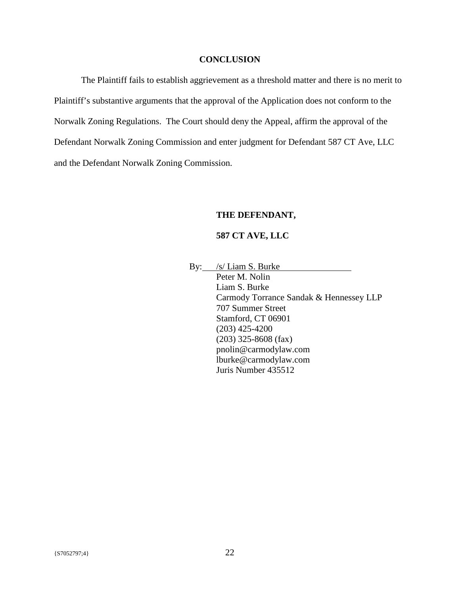## **CONCLUSION**

The Plaintiff fails to establish aggrievement as a threshold matter and there is no merit to Plaintiff's substantive arguments that the approval of the Application does not conform to the Norwalk Zoning Regulations. The Court should deny the Appeal, affirm the approval of the Defendant Norwalk Zoning Commission and enter judgment for Defendant 587 CT Ave, LLC and the Defendant Norwalk Zoning Commission.

## **THE DEFENDANT,**

### **587 CT AVE, LLC**

By: /s/ Liam S. Burke

Peter M. Nolin Liam S. Burke Carmody Torrance Sandak & Hennessey LLP 707 Summer Street Stamford, CT 06901 (203) 425-4200 (203) 325-8608 (fax) pnolin@carmodylaw.com lburke@carmodylaw.com Juris Number 435512